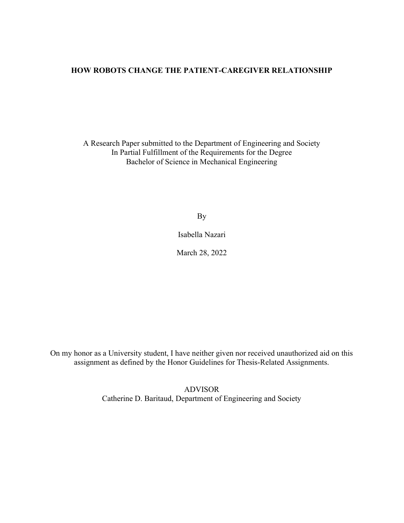# HOW ROBOTS CHANGE THE PATIENT-CAREGIVER RELATIONSHIP

A Research Paper submitted to the Department of Engineering and Society In Partial Fulfillment of the Requirements for the Degree Bachelor of Science in Mechanical Engineering

By

Isabella Nazari

March 28, 2022

On my honor as a University student, I have neither given nor received unauthorized aid on this assignment as defined by the Honor Guidelines for Thesis-Related Assignments.

> ADVISOR Catherine D. Baritaud, Department of Engineering and Society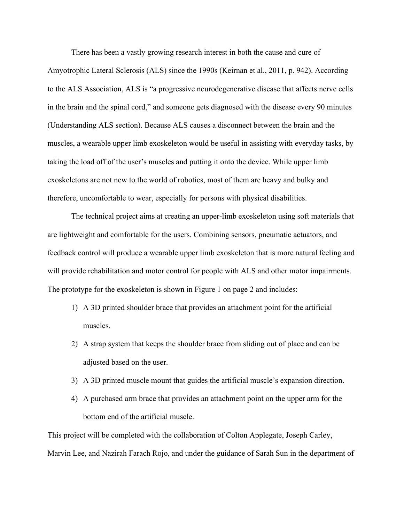There has been a vastly growing research interest in both the cause and cure of

Amyotrophic Lateral Sclerosis (ALS) since the 1990s (Keirnan et al., 2011, p. 942). According to the ALS Association, ALS is "a progressive neurodegenerative disease that affects nerve cells in the brain and the spinal cord," and someone gets diagnosed with the disease every 90 minutes (Understanding ALS section). Because ALS causes a disconnect between the brain and the muscles, a wearable upper limb exoskeleton would be useful in assisting with everyday tasks, by taking the load off of the user's muscles and putting it onto the device. While upper limb exoskeletons are not new to the world of robotics, most of them are heavy and bulky and therefore, uncomfortable to wear, especially for persons with physical disabilities.

The technical project aims at creating an upper-limb exoskeleton using soft materials that are lightweight and comfortable for the users. Combining sensors, pneumatic actuators, and feedback control will produce a wearable upper limb exoskeleton that is more natural feeling and will provide rehabilitation and motor control for people with ALS and other motor impairments. The prototype for the exoskeleton is shown in Figure 1 on page 2 and includes:

- 1) A 3D printed shoulder brace that provides an attachment point for the artificial muscles.
- 2) A strap system that keeps the shoulder brace from sliding out of place and can be adjusted based on the user.
- 3) A 3D printed muscle mount that guides the artificial muscle's expansion direction.
- 4) A purchased arm brace that provides an attachment point on the upper arm for the bottom end of the artificial muscle.

This project will be completed with the collaboration of Colton Applegate, Joseph Carley, Marvin Lee, and Nazirah Farach Rojo, and under the guidance of Sarah Sun in the department of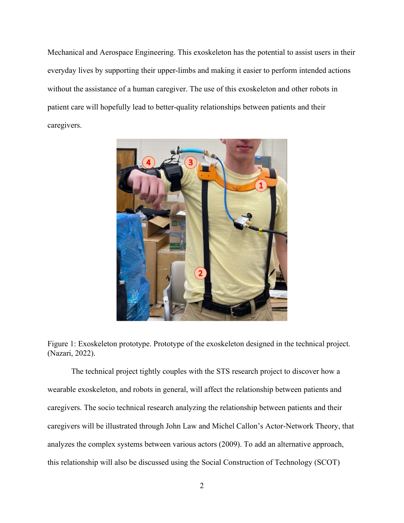Mechanical and Aerospace Engineering. This exoskeleton has the potential to assist users in their everyday lives by supporting their upper-limbs and making it easier to perform intended actions without the assistance of a human caregiver. The use of this exoskeleton and other robots in patient care will hopefully lead to better-quality relationships between patients and their caregivers.



Figure 1: Exoskeleton prototype. Prototype of the exoskeleton designed in the technical project. (Nazari, 2022).

The technical project tightly couples with the STS research project to discover how a wearable exoskeleton, and robots in general, will affect the relationship between patients and caregivers. The socio technical research analyzing the relationship between patients and their caregivers will be illustrated through John Law and Michel Callon's Actor-Network Theory, that analyzes the complex systems between various actors (2009). To add an alternative approach, this relationship will also be discussed using the Social Construction of Technology (SCOT)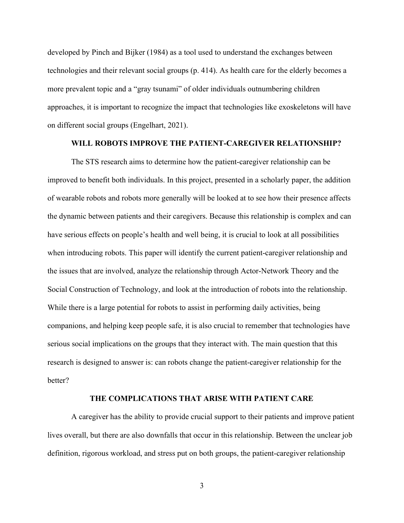developed by Pinch and Bijker (1984) as a tool used to understand the exchanges between technologies and their relevant social groups (p. 414). As health care for the elderly becomes a more prevalent topic and a "gray tsunami" of older individuals outnumbering children approaches, it is important to recognize the impact that technologies like exoskeletons will have on different social groups (Engelhart, 2021).

## WILL ROBOTS IMPROVE THE PATIENT-CAREGIVER RELATIONSHIP?

The STS research aims to determine how the patient-caregiver relationship can be improved to benefit both individuals. In this project, presented in a scholarly paper, the addition of wearable robots and robots more generally will be looked at to see how their presence affects the dynamic between patients and their caregivers. Because this relationship is complex and can have serious effects on people's health and well being, it is crucial to look at all possibilities when introducing robots. This paper will identify the current patient-caregiver relationship and the issues that are involved, analyze the relationship through Actor-Network Theory and the Social Construction of Technology, and look at the introduction of robots into the relationship. While there is a large potential for robots to assist in performing daily activities, being companions, and helping keep people safe, it is also crucial to remember that technologies have serious social implications on the groups that they interact with. The main question that this research is designed to answer is: can robots change the patient-caregiver relationship for the better?

## THE COMPLICATIONS THAT ARISE WITH PATIENT CARE

A caregiver has the ability to provide crucial support to their patients and improve patient lives overall, but there are also downfalls that occur in this relationship. Between the unclear job definition, rigorous workload, and stress put on both groups, the patient-caregiver relationship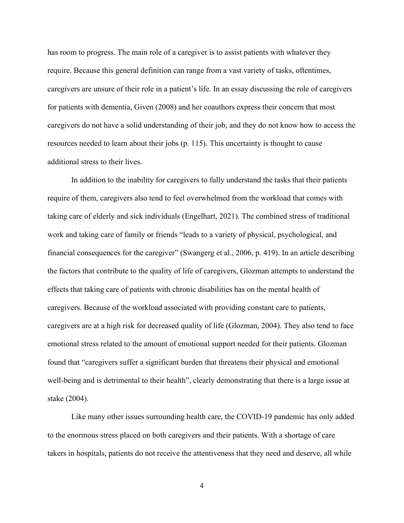has room to progress. The main role of a caregiver is to assist patients with whatever they require. Because this general definition can range from a vast variety of tasks, oftentimes, caregivers are unsure of their role in a patient's life. In an essay discussing the role of caregivers for patients with dementia, Given (2008) and her coauthors express their concern that most caregivers do not have a solid understanding of their job, and they do not know how to access the resources needed to learn about their jobs (p. 115). This uncertainty is thought to cause additional stress to their lives.

In addition to the inability for caregivers to fully understand the tasks that their patients require of them, caregivers also tend to feel overwhelmed from the workload that comes with taking care of elderly and sick individuals (Engelhart, 2021). The combined stress of traditional work and taking care of family or friends "leads to a variety of physical, psychological, and financial consequences for the caregiver" (Swangerg et al., 2006, p. 419). In an article describing the factors that contribute to the quality of life of caregivers, Glozman attempts to understand the effects that taking care of patients with chronic disabilities has on the mental health of caregivers. Because of the workload associated with providing constant care to patients, caregivers are at a high risk for decreased quality of life (Glozman, 2004). They also tend to face emotional stress related to the amount of emotional support needed for their patients. Glozman found that "caregivers suffer a significant burden that threatens their physical and emotional well-being and is detrimental to their health", clearly demonstrating that there is a large issue at stake (2004).

Like many other issues surrounding health care, the COVID-19 pandemic has only added to the enormous stress placed on both caregivers and their patients. With a shortage of care takers in hospitals, patients do not receive the attentiveness that they need and deserve, all while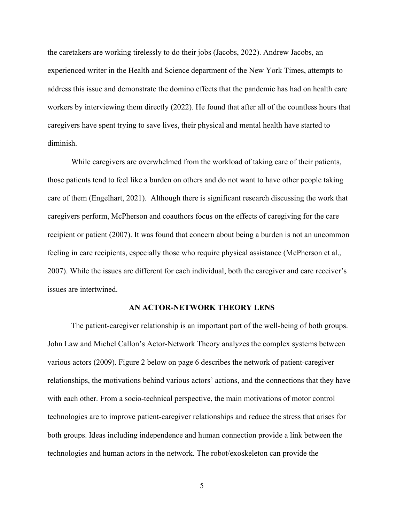the caretakers are working tirelessly to do their jobs (Jacobs, 2022). Andrew Jacobs, an experienced writer in the Health and Science department of the New York Times, attempts to address this issue and demonstrate the domino effects that the pandemic has had on health care workers by interviewing them directly (2022). He found that after all of the countless hours that caregivers have spent trying to save lives, their physical and mental health have started to diminish.

While caregivers are overwhelmed from the workload of taking care of their patients, those patients tend to feel like a burden on others and do not want to have other people taking care of them (Engelhart, 2021). Although there is significant research discussing the work that caregivers perform, McPherson and coauthors focus on the effects of caregiving for the care recipient or patient (2007). It was found that concern about being a burden is not an uncommon feeling in care recipients, especially those who require physical assistance (McPherson et al., 2007). While the issues are different for each individual, both the caregiver and care receiver's issues are intertwined.

#### AN ACTOR-NETWORK THEORY LENS

The patient-caregiver relationship is an important part of the well-being of both groups. John Law and Michel Callon's Actor-Network Theory analyzes the complex systems between various actors (2009). Figure 2 below on page 6 describes the network of patient-caregiver relationships, the motivations behind various actors' actions, and the connections that they have with each other. From a socio-technical perspective, the main motivations of motor control technologies are to improve patient-caregiver relationships and reduce the stress that arises for both groups. Ideas including independence and human connection provide a link between the technologies and human actors in the network. The robot/exoskeleton can provide the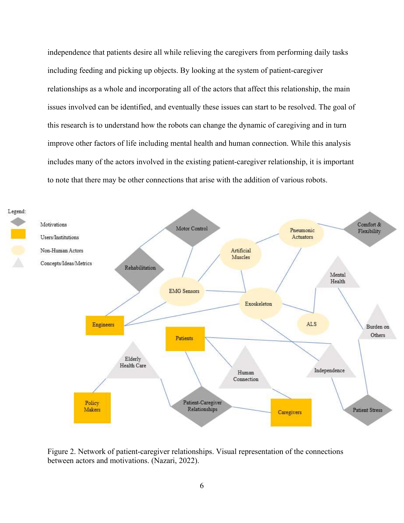independence that patients desire all while relieving the caregivers from performing daily tasks including feeding and picking up objects. By looking at the system of patient-caregiver relationships as a whole and incorporating all of the actors that affect this relationship, the main issues involved can be identified, and eventually these issues can start to be resolved. The goal of this research is to understand how the robots can change the dynamic of caregiving and in turn improve other factors of life including mental health and human connection. While this analysis includes many of the actors involved in the existing patient-caregiver relationship, it is important to note that there may be other connections that arise with the addition of various robots.



Figure 2. Network of patient-caregiver relationships. Visual representation of the connections between actors and motivations. (Nazari, 2022).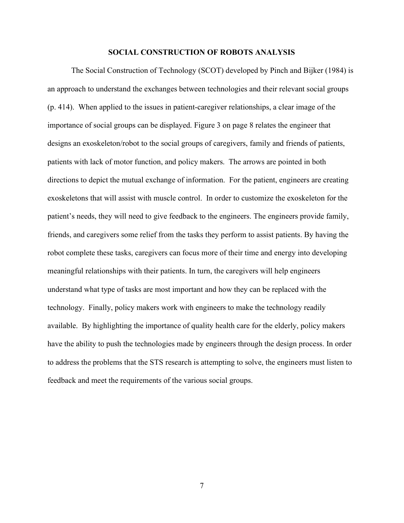### SOCIAL CONSTRUCTION OF ROBOTS ANALYSIS

The Social Construction of Technology (SCOT) developed by Pinch and Bijker (1984) is an approach to understand the exchanges between technologies and their relevant social groups (p. 414). When applied to the issues in patient-caregiver relationships, a clear image of the importance of social groups can be displayed. Figure 3 on page 8 relates the engineer that designs an exoskeleton/robot to the social groups of caregivers, family and friends of patients, patients with lack of motor function, and policy makers. The arrows are pointed in both directions to depict the mutual exchange of information. For the patient, engineers are creating exoskeletons that will assist with muscle control. In order to customize the exoskeleton for the patient's needs, they will need to give feedback to the engineers. The engineers provide family, friends, and caregivers some relief from the tasks they perform to assist patients. By having the robot complete these tasks, caregivers can focus more of their time and energy into developing meaningful relationships with their patients. In turn, the caregivers will help engineers understand what type of tasks are most important and how they can be replaced with the technology. Finally, policy makers work with engineers to make the technology readily available. By highlighting the importance of quality health care for the elderly, policy makers have the ability to push the technologies made by engineers through the design process. In order to address the problems that the STS research is attempting to solve, the engineers must listen to feedback and meet the requirements of the various social groups.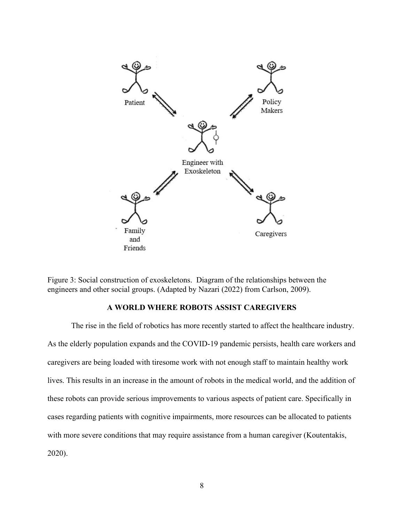

Figure 3: Social construction of exoskeletons. Diagram of the relationships between the engineers and other social groups. (Adapted by Nazari (2022) from Carlson, 2009).

# A WORLD WHERE ROBOTS ASSIST CAREGIVERS

The rise in the field of robotics has more recently started to affect the healthcare industry. As the elderly population expands and the COVID-19 pandemic persists, health care workers and caregivers are being loaded with tiresome work with not enough staff to maintain healthy work lives. This results in an increase in the amount of robots in the medical world, and the addition of these robots can provide serious improvements to various aspects of patient care. Specifically in cases regarding patients with cognitive impairments, more resources can be allocated to patients with more severe conditions that may require assistance from a human caregiver (Koutentakis, 2020).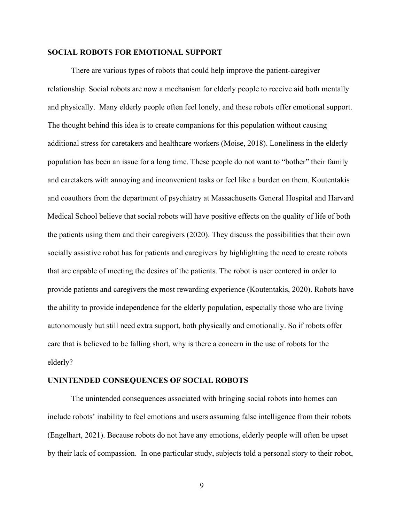## SOCIAL ROBOTS FOR EMOTIONAL SUPPORT

There are various types of robots that could help improve the patient-caregiver relationship. Social robots are now a mechanism for elderly people to receive aid both mentally and physically. Many elderly people often feel lonely, and these robots offer emotional support. The thought behind this idea is to create companions for this population without causing additional stress for caretakers and healthcare workers (Moise, 2018). Loneliness in the elderly population has been an issue for a long time. These people do not want to "bother" their family and caretakers with annoying and inconvenient tasks or feel like a burden on them. Koutentakis and coauthors from the department of psychiatry at Massachusetts General Hospital and Harvard Medical School believe that social robots will have positive effects on the quality of life of both the patients using them and their caregivers (2020). They discuss the possibilities that their own socially assistive robot has for patients and caregivers by highlighting the need to create robots that are capable of meeting the desires of the patients. The robot is user centered in order to provide patients and caregivers the most rewarding experience (Koutentakis, 2020). Robots have the ability to provide independence for the elderly population, especially those who are living autonomously but still need extra support, both physically and emotionally. So if robots offer care that is believed to be falling short, why is there a concern in the use of robots for the elderly?

#### UNINTENDED CONSEQUENCES OF SOCIAL ROBOTS

The unintended consequences associated with bringing social robots into homes can include robots' inability to feel emotions and users assuming false intelligence from their robots (Engelhart, 2021). Because robots do not have any emotions, elderly people will often be upset by their lack of compassion. In one particular study, subjects told a personal story to their robot,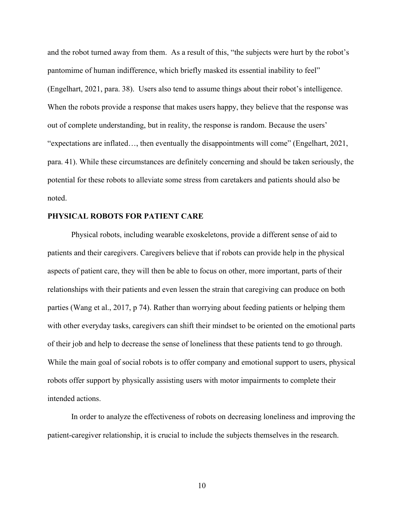and the robot turned away from them. As a result of this, "the subjects were hurt by the robot's pantomime of human indifference, which briefly masked its essential inability to feel" (Engelhart, 2021, para. 38). Users also tend to assume things about their robot's intelligence. When the robots provide a response that makes users happy, they believe that the response was out of complete understanding, but in reality, the response is random. Because the users' "expectations are inflated…, then eventually the disappointments will come" (Engelhart, 2021, para. 41). While these circumstances are definitely concerning and should be taken seriously, the potential for these robots to alleviate some stress from caretakers and patients should also be noted.

# PHYSICAL ROBOTS FOR PATIENT CARE

Physical robots, including wearable exoskeletons, provide a different sense of aid to patients and their caregivers. Caregivers believe that if robots can provide help in the physical aspects of patient care, they will then be able to focus on other, more important, parts of their relationships with their patients and even lessen the strain that caregiving can produce on both parties (Wang et al., 2017, p 74). Rather than worrying about feeding patients or helping them with other everyday tasks, caregivers can shift their mindset to be oriented on the emotional parts of their job and help to decrease the sense of loneliness that these patients tend to go through. While the main goal of social robots is to offer company and emotional support to users, physical robots offer support by physically assisting users with motor impairments to complete their intended actions.

In order to analyze the effectiveness of robots on decreasing loneliness and improving the patient-caregiver relationship, it is crucial to include the subjects themselves in the research.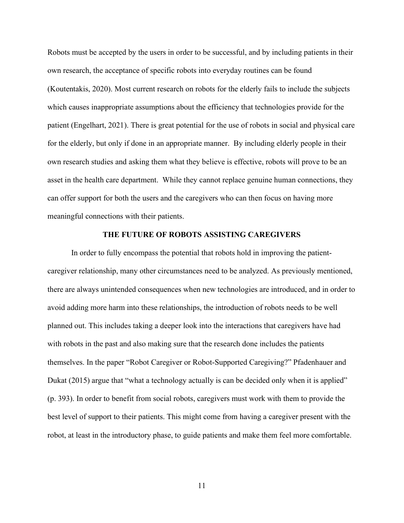Robots must be accepted by the users in order to be successful, and by including patients in their own research, the acceptance of specific robots into everyday routines can be found (Koutentakis, 2020). Most current research on robots for the elderly fails to include the subjects which causes inappropriate assumptions about the efficiency that technologies provide for the patient (Engelhart, 2021). There is great potential for the use of robots in social and physical care for the elderly, but only if done in an appropriate manner. By including elderly people in their own research studies and asking them what they believe is effective, robots will prove to be an asset in the health care department. While they cannot replace genuine human connections, they can offer support for both the users and the caregivers who can then focus on having more meaningful connections with their patients.

### THE FUTURE OF ROBOTS ASSISTING CAREGIVERS

 In order to fully encompass the potential that robots hold in improving the patientcaregiver relationship, many other circumstances need to be analyzed. As previously mentioned, there are always unintended consequences when new technologies are introduced, and in order to avoid adding more harm into these relationships, the introduction of robots needs to be well planned out. This includes taking a deeper look into the interactions that caregivers have had with robots in the past and also making sure that the research done includes the patients themselves. In the paper "Robot Caregiver or Robot-Supported Caregiving?" Pfadenhauer and Dukat (2015) argue that "what a technology actually is can be decided only when it is applied" (p. 393). In order to benefit from social robots, caregivers must work with them to provide the best level of support to their patients. This might come from having a caregiver present with the robot, at least in the introductory phase, to guide patients and make them feel more comfortable.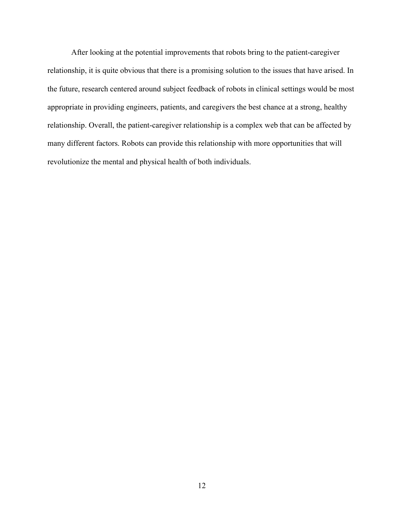After looking at the potential improvements that robots bring to the patient-caregiver relationship, it is quite obvious that there is a promising solution to the issues that have arised. In the future, research centered around subject feedback of robots in clinical settings would be most appropriate in providing engineers, patients, and caregivers the best chance at a strong, healthy relationship. Overall, the patient-caregiver relationship is a complex web that can be affected by many different factors. Robots can provide this relationship with more opportunities that will revolutionize the mental and physical health of both individuals.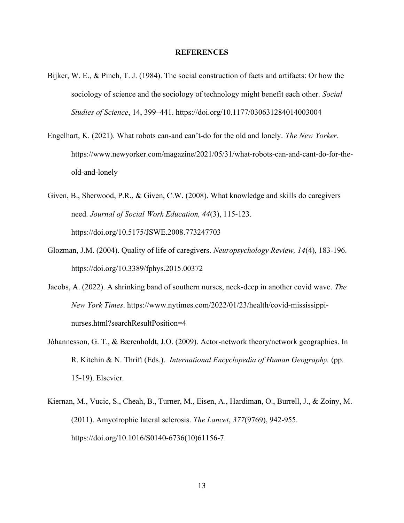#### **REFERENCES**

- Bijker, W. E., & Pinch, T. J. (1984). The social construction of facts and artifacts: Or how the sociology of science and the sociology of technology might benefit each other. Social Studies of Science, 14, 399–441. https://doi.org/10.1177/030631284014003004
- Engelhart, K. (2021). What robots can-and can't-do for the old and lonely. The New Yorker. https://www.newyorker.com/magazine/2021/05/31/what-robots-can-and-cant-do-for-theold-and-lonely
- Given, B., Sherwood, P.R., & Given, C.W. (2008). What knowledge and skills do caregivers need. Journal of Social Work Education, 44(3), 115-123. https://doi.org/10.5175/JSWE.2008.773247703
- Glozman, J.M. (2004). Quality of life of caregivers. Neuropsychology Review, 14(4), 183-196. https://doi.org/10.3389/fphys.2015.00372
- Jacobs, A. (2022). A shrinking band of southern nurses, neck-deep in another covid wave. The New York Times. https://www.nytimes.com/2022/01/23/health/covid-mississippinurses.html?searchResultPosition=4
- Jóhannesson, G. T., & Bærenholdt, J.O. (2009). Actor-network theory/network geographies. In R. Kitchin & N. Thrift (Eds.). International Encyclopedia of Human Geography. (pp. 15-19). Elsevier.
- Kiernan, M., Vucic, S., Cheah, B., Turner, M., Eisen, A., Hardiman, O., Burrell, J., & Zoiny, M. (2011). Amyotrophic lateral sclerosis. The Lancet, 377(9769), 942-955. https://doi.org/10.1016/S0140-6736(10)61156-7.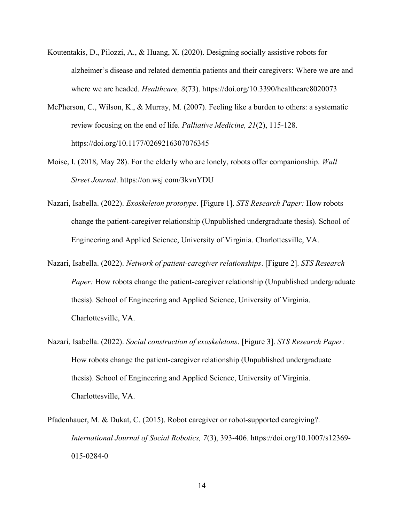- Koutentakis, D., Pilozzi, A., & Huang, X. (2020). Designing socially assistive robots for alzheimer's disease and related dementia patients and their caregivers: Where we are and where we are headed. *Healthcare*, 8(73). https://doi.org/10.3390/healthcare8020073
- McPherson, C., Wilson, K., & Murray, M. (2007). Feeling like a burden to others: a systematic review focusing on the end of life. Palliative Medicine, 21(2), 115-128. https://doi.org/10.1177/0269216307076345
- Moise, I. (2018, May 28). For the elderly who are lonely, robots offer companionship. Wall Street Journal. https://on.wsj.com/3kvnYDU
- Nazari, Isabella. (2022). Exoskeleton prototype. [Figure 1]. STS Research Paper: How robots change the patient-caregiver relationship (Unpublished undergraduate thesis). School of Engineering and Applied Science, University of Virginia. Charlottesville, VA.
- Nazari, Isabella. (2022). Network of patient-caregiver relationships. [Figure 2]. STS Research Paper: How robots change the patient-caregiver relationship (Unpublished undergraduate thesis). School of Engineering and Applied Science, University of Virginia. Charlottesville, VA.
- Nazari, Isabella. (2022). Social construction of exoskeletons. [Figure 3]. STS Research Paper: How robots change the patient-caregiver relationship (Unpublished undergraduate thesis). School of Engineering and Applied Science, University of Virginia. Charlottesville, VA.
- Pfadenhauer, M. & Dukat, C. (2015). Robot caregiver or robot-supported caregiving?. International Journal of Social Robotics, 7(3), 393-406. https://doi.org/10.1007/s12369- 015-0284-0